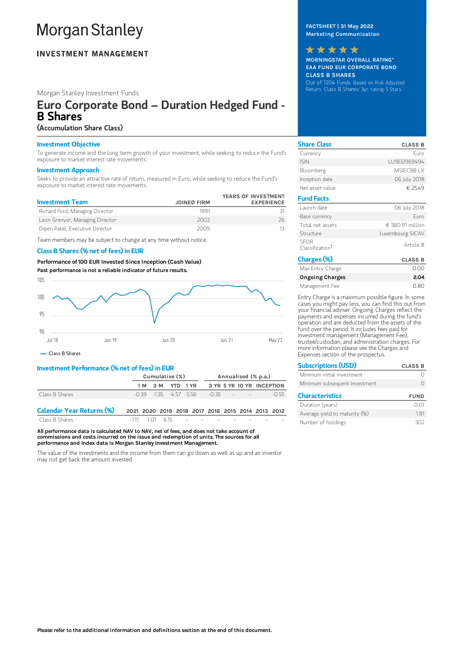# **Morgan Stanley**

# **INVESTMENT MANAGEMENT**

## Morgan Stanley Investment Funds

# Euro Corporate Bond – Duration Hedged Fund - B Shares

## (Accumulation Share Class)

## Investment Objective

To generate income and the long term growth of your investment, while seeking to reduce the Fund's exposure to market interest rate movements.

## Investment Approach

Seeks to provide an attractive rate of return, measured in Euro, while seeking to reduce the Fund's exposure to market interest rate movements.

| <b>Investment Team</b>          | <b>JOINED FIRM</b> | YEARS OF INVESTMENT<br><b>EXPERIENCE</b> |
|---------------------------------|--------------------|------------------------------------------|
| Richard Ford, Managing Director | 1991               |                                          |
| Leon Grenyer, Managing Director | 2002               | 26                                       |
| Dipen Patel, Executive Director | 2009               |                                          |

Team members may be subject to change at any time without notice.

## Class B Shares (% net of fees) in EUR

Performance of 100 EUR Invested Since Inception (Cash Value) Past performance is not a reliable indicator of future results.



Class B Shares

## Investment Performance (% net of fees) in EUR

|                                  | Cumulative (%)                                    |                  |  |                                               | Annualised (% p.a.) |  |  |                           |         |
|----------------------------------|---------------------------------------------------|------------------|--|-----------------------------------------------|---------------------|--|--|---------------------------|---------|
|                                  |                                                   | 1 M 3 M YTD 1 YR |  |                                               |                     |  |  | 3 YR 5 YR 10 YR INCEPTION |         |
| Class B Shares                   |                                                   |                  |  | $-0.39$ $-1.35$ $-4.57$ $-5.56$ $-0.35$ $  -$ |                     |  |  |                           | $-0.55$ |
| <b>Calendar Year Returns (%)</b> | 2021 2020 2019 2018 2017 2016 2015 2014 2013 2012 |                  |  |                                               |                     |  |  |                           |         |

Class B Shares -1.11 1.01 6.15

All performance data is calculated NAV to NAV, net of fees, and does not take account of commissions and costs incurred on the issue and redemption of units. The sources for all performance and Index data is Morgan Stanley Investment Management.

The value of the investments and the income from them can go down as well as up and an investor may not get back the amount invested.

## FACTSHEET | 31 May 2022 Marketing Communication

MORNINGSTAR OVERALL RATING\* EAA FUND EUR CORPORATE BOND CLASS B SHARES Out of 1204 Funds. Based on Risk Adjusted Return. Class B Shares: 3yr. rating 5 Stars. \*\*\*\*\*

| <b>Share Class</b>                         | <b>CLASS B</b>   |
|--------------------------------------------|------------------|
| Currency                                   | Furo             |
| <b>ISIN</b>                                | LU1832969494     |
| Bloomberg                                  | MSIFCBB LX       |
| Inception date                             | 06 July 2018     |
| Net asset value                            | € 25.49          |
| <b>Fund Facts</b>                          |                  |
| Launch date                                | 06 July 2018     |
| Base currency                              | Furo             |
| Total net assets                           | € 380.91 million |
| Structure                                  | Luxembourg SICAV |
| <b>SEDR</b><br>Classification <sup>†</sup> | Article 8        |
| Charges (%)                                | <b>CLASS B</b>   |
| Max Entry Charge                           | 0.00             |
| <b>Ongoing Charges</b>                     | 2.04             |

Entry Charge is a maximum possible figure. In some cases you might pay less, you can find this out from your financial adviser. Ongoing Charges reflect the payments and expenses incurred during the fund's operation and are deducted from the assets of the fund over the period. It includes fees paid for investment management (Management Fee), trustee/custodian, and administration charges. For more information please see the Charges and Expenses section of the prospectus.

Management Fee 0.80

| <b>Subscriptions (USD)</b>    | <b>CLASS B</b> |
|-------------------------------|----------------|
| Minimum initial investment    |                |
| Minimum subsequent Investment |                |
| <b>Characteristics</b>        | <b>FUND</b>    |
| Duration (vears)              |                |

| Duration (years)              | -0.01 |
|-------------------------------|-------|
| Average yield to maturity (%) | 181   |
| Number of holdings            | 302   |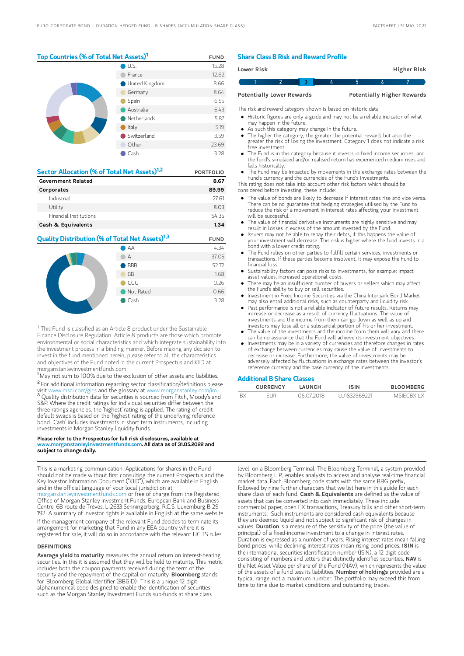## Top Countries (% of Total Net Assets)<sup>1</sup> FUND

|  | U.S.                  | 15.28 |
|--|-----------------------|-------|
|  | France                | 12.82 |
|  | <b>United Kingdom</b> | 8.66  |
|  | Germany               | 8.64  |
|  | Spain                 | 6.55  |
|  | Australia             | 6.43  |
|  | Netherlands           | 5.87  |
|  | Italy                 | 5.19  |
|  | Switzerland           | 3.59  |
|  | Other                 | 23.69 |
|  | Cash                  | 3.28  |

| Sector Allocation (% of Total Net Assets) <sup>1,2</sup> | <b>PORTFOLIO</b> |
|----------------------------------------------------------|------------------|
| <b>Government Related</b>                                | 8.67             |
| Corporates                                               | 89.99            |
| Industrial                                               | 27.61            |
| Utility                                                  | 8.03             |
| Financial Institutions                                   | 5435             |
| Cash & Equivalents                                       | 1.34             |

## **Quality Distribution (% of Total Net Assets)<sup>1,3</sup> FUND** AA 4.34 A 37.05



<sup>†</sup> This Fund is classified as an Article 8 product under the Sustainable Finance Disclosure Regulation. Article 8 products are those which promote environmental or social characteristics and which integrate sustainability into the investment process in a binding manner. Before making any decision to invest in the fund mentioned herein, please refer to all the characteristics and objectives of the Fund noted in the current Prospectus and KIID at morganstanleyinvestmentfunds.com.

<sup>1</sup> May not sum to 100% due to the exclusion of other assets and liabilities. <sup>2</sup> For additional information regarding sector classification/definitions please visit www.msci.com/gics and the glossary at www.morganstanley.com <sup>3</sup> Quality distribution data for securities is sourced from Fitch, Moody's and S&P. Where the credit ratings for individual securities differ between the three ratings agencies, the 'highest' rating is applied. The rating of credit default swaps is based on the 'highest' rating of the underlying reference bond. 'Cash' includes investments in short term instruments, including investments in Morgan Stanley liquidity funds.

#### Please refer to the Prospectus for full risk disclosures, available at  $\mu$ anstanleyinvestmentfunds.com. All data as of 31.05.2022 and subject to change daily.

This is a marketing communication. Applications for shares in the Fund should not be made without first consulting the current Prospectus and the Key Investor Information Document ("KIID"), which are available in English and in the official language of your local jurisdiction at [morganstanleyinvestmentfunds.com](https://www.morganstanley.com/im/msinvf/index.html) or free of charge from the Registered Office of Morgan Stanley Investment Funds, European Bank and Business Centre, 6B route de Trèves, L-2633 Senningerberg, R.C.S. Luxemburg B 29 192. A summary of investor rights is available in English at the same website.

If the management company of the relevant Fund decides to terminate its arrangement for marketing that Fund in any EEA country where it is registered for sale, it will do so in accordance with the relevant UCITS rules.

#### **DEFINITIONS**

Average yield to maturity measures the annual return on interest-bearing securities. In this it is assumed that they will be held to maturity. This metric includes both the coupon payments received during the term of the security and the repayment of the capital on maturity. **Bloomberg** stands for 'Bloomberg Global Identifier (BBGID)'. This is a unique 12 digit alphanumerical code designed to enable the identification of securities, such as the Morgan Stanley Investment Funds sub-funds at share class

## Share Class B Risk and Reward Profile

| Lower Risk                       |  |  |  |                                   | Higher Risk |
|----------------------------------|--|--|--|-----------------------------------|-------------|
|                                  |  |  |  |                                   |             |
| <b>Potentially Lower Rewards</b> |  |  |  | <b>Potentially Higher Rewards</b> |             |

The risk and reward category shown is based on historic data.

- Historic figures are only a guide and may not be a reliable indicator of what may happen in the future.
- As such this category may change in the future.
- The higher the category, the greater the potential reward, but also the greater the risk of losing the investment. Category 1 does not indicate a risk free investment.
- The Fund is in this category because it invests in fixed income securities. and the fund's simulated and/or realised return has experienced medium rises and falls historically.
- The Fund may be impacted by movements in the exchange rates between the Fund's currency and the currencies of the Fund's investments.
- This rating does not take into account other risk factors which should be considered before investing, these include:
- The value of bonds are likely to decrease if interest rates rise and vice versa. There can be no guarantee that hedging strategies utilised by the Fund to reduce the risk of a movement in interest rates affecting your investment will be successful.
- The value of financial derivative instruments are highly sensitive and may result in losses in excess of the amount invested by the Fund.
- Issuers may not be able to repay their debts, if this happens the value of your investment will decrease. This risk is higher where the fund invests in a bond with a lower credit rating.
- The Fund relies on other parties to fulfill certain services, investments or transactions. If these parties become insolvent, it may expose the Fund to financial loss.
- Sustainability factors can pose risks to investments, for example: impact asset values, increased operational costs.
- There may be an insufficient number of buyers or sellers which may affect the Fund's ability to buy or sell securities.
- Investment in Fixed Income Securities via the China Interbank Bond Market mesument in the amesure securities that the entire interior in containing and liquidity risk.
- Past performance is not a reliable indicator of future results. Returns may increase or decrease as a result of currency fluctuations. The value of investments and the income from them can go down as well as up and investors may lose all or a substantial portion of his or her investment.
- The value of the investments and the income from them will vary and there can be no assurance that the Fund will achieve its investment objectives.
- Investments may be in a variety of currencies and therefore changes in rates of exchange between currencies may cause the value of investments to decrease or increase. Furthermore, the value of investments may be adversely affected by fluctuations in exchange rates between the investor's reference currency and the base currency of the investments.

#### Additional B Share Classes

|      | <b>CURRENCY</b> | LAUNCH     | <b>ISIN</b>  | <b>BLOOMBERG</b> |
|------|-----------------|------------|--------------|------------------|
| - RX | FUR             | 06.07.2018 | 111832969221 | MSIECRX LX       |

level, on a Bloomberg Terminal. The Bloomberg Terminal, a system provided by Bloomberg L.P., enables analysts to access and analyse real-time financial market data. Each Bloomberg code starts with the same BBG prefix, followed by nine further characters that we list here in this guide for each share class of each fund. Cash & Equivalents are defined as the value of assets that can be converted into cash immediately. These include commercial paper, open FX transactions, Treasury bills and other short-term instruments. Such instruments are considered cash equivalents because they are deemed liquid and not subject to significant risk of changes in values. Duration is a measure of the sensitivity of the price (the value of principal) of a fixed-income investment to a change in interest rates. Duration is expressed as a number of years. Rising interest rates mean falling bond prices, while declining interest rates mean rising bond prices. ISIN is the international securities identification number (ISIN), a 12 digit code consisting of numbers and letters that distinctly identifies securities. NAV is the Net Asset Value per share of the Fund (NAV), which represents the value of the assets of a fund less its liabilities. Number of holdings provided are a typical range, not a maximum number. The portfolio may exceed this from time to time due to market conditions and outstanding trades.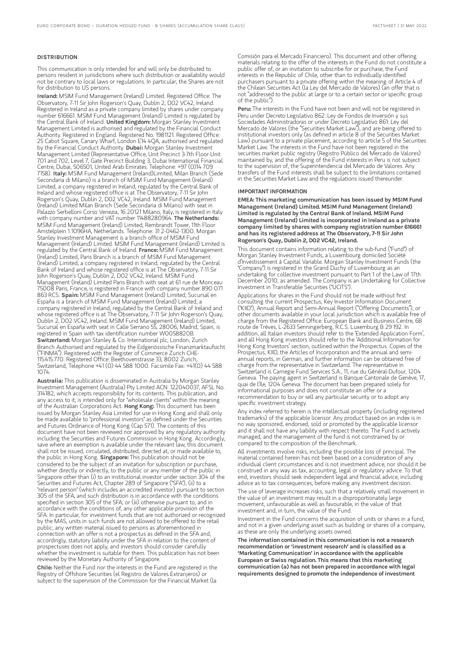## **DISTRIBUTION**

This communication is only intended for and will only be distributed to persons resident in jurisdictions where such distribution or availability would not be contrary to local laws or regulations. In particular, the Shares are not for distribution to US persons.

Ireland: MSIM Fund Management (Ireland) Limited. Registered Office: The Observatory, 7-11 Sir John Rogerson's Quay, Dublin 2, D02 VC42, Ireland. Registered in Ireland as a private company limited by shares under company number 616661. MSIM Fund Management (Ireland) Limited is regulated by the Central Bank of Ireland. United Kingdom: Morgan Stanley Investment Management Limited is authorised and regulated by the Financial Conduct Authority. Registered in England. Registered No. 1981121. Registered Office: 25 Cabot Square, Canary Wharf, London E14 4QA, authorised and regulated by the Financial Conduct Authority. Dubai: Morgan Stanley Investment Management Limited (Representative Office, Unit Precinct 3-7th Floor-Unit 701 and 702, Level 7, Gate Precinct Building 3, Dubai International Financial Centre, Dubai, 506501, United Arab Emirates. Telephone: +97 (0)14 709<br>7158). I**taly:** MSIM Fund Management (Ireland)Limited, Milan Branch (Sede Secondaria di Milano) is a branch of MSIM Fund Management (Ireland) Limited, a company registered in Ireland, regulated by the Central Bank of Ireland and whose registered office is at The Observatory, 7-11 Sir John Rogerson's Quay, Dublin 2, D02 VC42, Ireland. MSIM Fund Management (Ireland) Limited Milan Branch (Sede Secondaria di Milano) with seat in Palazzo Serbelloni Corso Venezia, 16 20121 Milano, Italy, is registered in Italy with company number and VAT number 11488280964. The Netherlands: MSIM Fund Management (Ireland) Limited, Rembrandt Tower, 11th Floor Amstelplein 1 1096HA, Netherlands. Telephone: 31 2-0462-1300. Morgan Stanley Investment Management is a branch office of MSIM Fund Management (Ireland) Limited. MSIM Fund Management (Ireland) Limited is regulated by the Central Bank of Ireland. France: MSIM Fund Management (Ireland) Limited, Paris Branch is a branch of MSIM Fund Management (Ireland) Limited, a company registered in Ireland, regulated by the Central Bank of Ireland and whose registered office is at The Observatory, 7-11 Sir John Rogerson's Quay, Dublin 2, D02 VC42, Ireland. MSIM Fund Management (Ireland) Limited Paris Branch with seat at 61 rue de Monceau 75008 Paris, France, is registered in France with company number 890 071 863 RCS. Spain: MSIM Fund Management (Ireland) Limited, Sucursal en España is a branch of MSIM Fund Management (Ireland) Limited, a company registered in Ireland, regulated by the Central Bank of Ireland and whose registered office is at The Observatory, 7-11 Sir John Rogerson's Quay, Dublin 2, D02 VC42, Ireland. MSIM Fund Management (Ireland) Limited, Sucursal en España with seat in Calle Serrano 55, 28006, Madrid, Spain, is registered in Spain with tax identification number W0058820B. Switzerland: Morgan Stanley & Co. International plc, London, Zurich Branch Authorised and regulated by the Eidgenössische Finanzmarktaufsicht ("FINMA"). Registered with the Register of Commerce Zurich CHE-115.415.770. Registered Office: Beethovenstrasse 33, 8002 Zurich, Switzerland, Telephone +41 (0) 44 588 1000. Facsimile Fax: +41(0) 44 588 1074.

Australia: This publication is disseminated in Australia by Morgan Stanley Investment Management (Australia) Pty Limited ACN: 122040037, AFSL No. 314182, which accepts responsibility for its contents. This publication, and any access to it, is intended only for "wholesale clients" within the meaning of the Australian Corporations Act. Hong Kong: This document has been issued by Morgan Stanley Asia Limited for use in Hong Kong and shall only be made available to "professional investors" as defined under the Securities and Futures Ordinance of Hong Kong (Cap 571). The contents of this document have not been reviewed nor approved by any regulatory authority including the Securities and Futures Commission in Hong Kong. Accordingly, save where an exemption is available under the relevant law, this document shall not be issued, circulated, distributed, directed at, or made available to, the public in Hong Kong. Singapore: This publication should not be considered to be the subject of an invitation for subscription or purchase, whether directly or indirectly, to the public or any member of the public in Singapore other than (i) to an institutional investor under section 304 of the Securities and Futures Act, Chapter 289 of Singapore ("SFA"), (ii) to a "relevant person" (which includes an accredited investor) pursuant to section 305 of the SFA, and such distribution is in accordance with the conditions specified in section 305 of the SFA; or (iii) otherwise pursuant to, and in accordance with the conditions of, any other applicable provision of the SFA. In particular, for investment funds that are not authorized or recognized by the MAS, units in such funds are not allowed to be offered to the retail public; any written material issued to persons as aforementioned in connection with an offer is not a prospectus as defined in the SFA and, accordingly, statutory liability under the SFA in relation to the content of prospectuses does not apply, and investors should consider carefully whether the investment is suitable for them. This publication has not been reviewed by the Monetary Authority of Singapore.

Chile: Neither the Fund nor the interests in the Fund are registered in the Registry of Offshore Securities (el Registro de Valores Extranjeros) or subject to the supervision of the Commission for the Financial Market (la

Comisión para el Mercado Financiero). This document and other offering materials relating to the offer of the interests in the Fund do not constitute a public offer of, or an invitation to subscribe for or purchase, the Fund interests in the Republic of Chile, other than to individually identified purchasers pursuant to a private offering within the meaning of Article 4 of the Chilean Securities Act (la Ley del Mercado de Valores) (an offer that is not "addressed to the public at large or to a certain sector or specific group of the public").

Peru: The interests in the Fund have not been and will not be registered in Peru under Decreto Legislativo 862: Ley de Fondos de Inversión y sus Sociedades Administradoras or under Decreto Legislativo 861: Ley del Mercado de Valores (the "Securities Market Law"), and are being offered to institutional investors only (as defined in article 8 of the Securities Market Law) pursuant to a private placement, according to article 5 of the Securities Market Law. The interests in the Fund have not been registered in the securities market public registry (Registro Público del Mercado de Valores) maintained by, and the offering of the Fund interests in Peru is not subject to the supervision of, the Superintendencia del Mercado de Valores. Any transfers of the Fund interests shall be subject to the limitations contained in the Securities Market Law and the regulations issued thereunder.

#### IMPORTANT INFORMATION

EMEA: This marketing communication has been issued by MSIM Fund Management (Ireland) Limited. MSIM Fund Management (Ireland) Limited is regulated by the Central Bank of Ireland. MSIM Fund Management (Ireland) Limited is incorporated in Ireland as a private company limited by shares with company registration number 616661 and has its registered address at The Observatory, 7-11 Sir John Rogerson's Quay, Dublin 2, D02 VC42, Ireland.

This document contains information relating to the sub-fund ("Fund") of Morgan Stanley Investment Funds, a Luxembourg domiciled Société d'Investissement à Capital Variable. Morgan Stanley Investment Funds (the "Company") is registered in the Grand Duchy of Luxembourg as an undertaking for collective investment pursuant to Part 1 of the Law of 17th December 2010, as amended. The Company is an Undertaking for Collective Investment in Transferable Securities ("UCITS").

Applications for shares in the Fund should not be made without first consulting the current Prospectus, Key Investor Information Document ("KIID"), Annual Report and Semi-Annual Report ("Offering Documents"), or other documents available in your local jurisdiction which is available free of charge from the Registered Office: European Bank and Business Centre, 6B route de Trèves, L-2633 Senningerberg, R.C.S. Luxemburg B 29 192. In addition, all Italian investors should refer to the 'Extended Application Form', and all Hong Kong investors should refer to the 'Additional Information for Hong Kong Investors' section, outlined within the Prospectus. Copies of the Prospectus, KIID, the Articles of Incorporation and the annual and semiannual reports, in German, and further information can be obtained free of charge from the representative in Switzerland. The representative in Switzerland is Carnegie Fund Services S.A., 11, rue du Général-Dufour, 1204 Geneva. The paying agent in Switzerland is Banque Cantonale de Genève, 17, quai de l'Ile, 1204 Geneva. The document has been prepared solely for informational purposes and does not constitute an offer or a recommendation to buy or sell any particular security or to adopt any specific investment strategy.

Any index referred to herein is the intellectual property (including registered trademarks) of the applicable licensor. Any product based on an index is in no way sponsored, endorsed, sold or promoted by the applicable licensor and it shall not have any liability with respect thereto. The Fund is actively managed, and the management of the fund is not constrained by or compared to the composition of the Benchmark.

All investments involve risks, including the possible loss of principal. The material contained herein has not been based on a consideration of any individual client circumstances and is not investment advice, nor should it be construed in any way as tax, accounting, legal or regulatory advice. To that end, investors should seek independent legal and financial advice, including advice as to tax consequences, before making any investment decision.

The use of leverage increases risks, such that a relatively small movement in the value of an investment may result in a disproportionately large movement, unfavourable as well as favourable, in the value of that investment and, in turn, the value of the Fund.

Investment in the Fund concerns the acquisition of units or shares in a fund, and not in a given underlying asset such as building or shares of a company, as these are only the underlying assets owned.

The information contained in this communication is not a research recommendation or 'investment research' and is classified as a 'Marketing Communication' in accordance with the applicable European or Swiss regulation. This means that this marketing communication (a) has not been prepared in accordance with legal requirements designed to promote the independence of investment